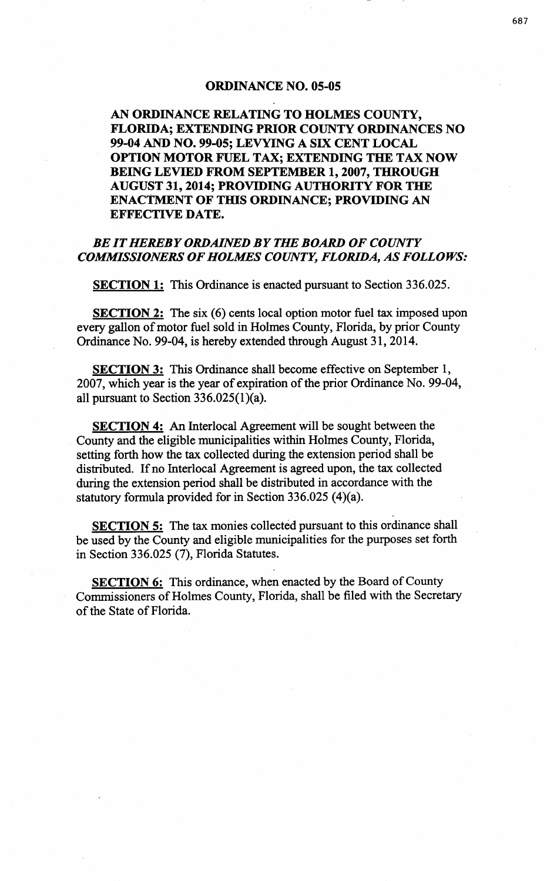## ORDINANCE NO. 05-05

AN ORDINANCE RELATING TO HOLMES COUNTY, FLORIDA; EXTENDING PRIOR COUNTY ORDINANCES NO 99-04 AND NO. 99-05; LEVYING A SIX CENT LOCAL OPTION MOTOR FUEL TAX; EXTENDING THE TAX NOW BEING LEVIED FROM SEPTEMBER 1, 2007, THROUGH AUGUST 31, 2014; PROVIDING AUTHORITY FOR THE ENACTMENT OF THIS ORDINANCE; PROVIDING AN EFFECTIVE DATE.

## *BE IT HEREBY ORDAINED BY THE BOARD OF COUNTY COMMISSIONERS OF HOLMES COUNTY, FLORIDA, AS FOLLOWS:*

SECTION 1: This Ordinance is enacted pursuant to Section 336.025.

**SECTION 2:** The six (6) cents local option motor fuel tax imposed upon every gallon of motor fuel sold in Holmes County, Florida, by prior County Ordinance No. 99-04, is hereby extended through August 31, 2014.

**SECTION 3:** This Ordinance shall become effective on September 1, 2007, which year is the year of expiration of the prior Ordinance No. 99-04, all pursuant to Section  $336.025(1)(a)$ .

SECTION 4: An Interlocal Agreement will be sought between the County and the eligible municipalities within Holmes County, Florida, setting forth how the tax collected during the extension period shall be distributed. If no lnterlocal Agreement is agreed upon, the tax collected during the extension period shall be distributed in accordance with the statutory formula provided for in Section 336.025 (4)(a).

SECTION 5: The tax monies collected pursuant to this ordinance shall be used by the County and eligible municipalities for the purposes set forth in Section 336.025 (7), Florida Statutes.

SECTION 6: This ordinance, when enacted by the Board of County Commissioners of Holmes County, Florida, shall be filed with the Secretary of the State of Florida.